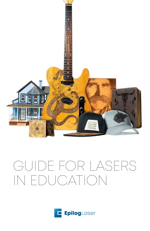

# GUIDE FOR LASERS IN EDUCATION

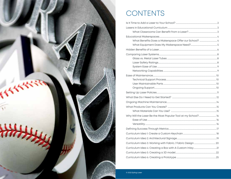

# **CONTENTS**

| What Benefits Does a Makerspace Offer our School?  4         |  |
|--------------------------------------------------------------|--|
|                                                              |  |
|                                                              |  |
|                                                              |  |
|                                                              |  |
|                                                              |  |
|                                                              |  |
|                                                              |  |
|                                                              |  |
|                                                              |  |
|                                                              |  |
|                                                              |  |
|                                                              |  |
|                                                              |  |
|                                                              |  |
|                                                              |  |
|                                                              |  |
| Why Will the Laser Be the Most Popular Tool at my School? 16 |  |
|                                                              |  |
|                                                              |  |
|                                                              |  |
|                                                              |  |
|                                                              |  |
|                                                              |  |
|                                                              |  |
|                                                              |  |
|                                                              |  |
|                                                              |  |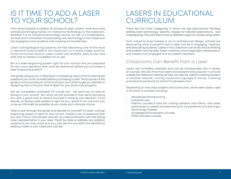### IS IT TIME TO ADD A LASER TO YOUR SCHOOL?

From smart boards to tablets, 3D printers to laser cutters, more and more schools are bringing hands-on, interactive technology to the classroom. Whether it is an industrial technology course, art lab, or a makerspace, schools and universities incorporating new technology in the classroom are engaging more students and creating active learners.

Laser cutting/engraving systems are fast becoming one of the most in-demand tools to add to the classroom, or in some cases, build an entire curriculum around. Laser cutters are versatile, easy to use, and safe. Not to mention incredibly fun to use.

But is a laser engraving system right for your school? Are you prepared for the many decisions that must be examined before you purchase a laser engraving system?

This guide will give you a head start in answering many of the fundamental questions you must consider before purchasing a laser. The purpose of this guide is not to provide you a full curriculum, but rather to get you started on designing the curriculum that is ideal for your particular program.

Are we completely unbiased? Of course not - we want you to add an Epilog to your school! But what we will promise is that we're providing you with a great look at what is involved in making your decision. If you decide an Epilog Laser system is right for you, great! If not, we want you to be as informed as possible as you make your ultimate choice.

Take a look through this guide and decide for yourself if a laser cutting/ engraving system is right for your school. Create a list of questions that you don't find in the booklet and set up a demonstration with the Epilog Laser representative in your area. They'll be able to address any addition questions you may have and you can see for yourself how beneficial adding a laser to your classroom can be!

### LASERS IN EDUCATIONAL CURRICULUM

There are two main categories in which we see educational facilities adding laser technology: specific classes for tailored applications, and makerspaces. First we'll take a look at different types of courses using lasers.

From industrial shop classes to art to architectural design, schools are discovering what a powerful tool a laser can be in engaging, inspiring, and educating students. Lasers in the classroom can build critical thinking and problem solving skills, foster creativity, encourage peer collaboration, and create more engaged and successful teachers.

#### Classrooms Can Benefit from a Laser

Lasers are incredibly versatile, and can be incorporated into a variety of courses. We also find that lasers are exceptionally popular in schools outside the classroom setting, as they can also be used for creating student or teacher awards, cutting classroom signage in-house, creating promotional products for school fundraisers, etc.)

Depending on the class subject and curriculum, we've seen lasers used in all kinds of courses including:

- Woodshop/Woodworking
- Industrial arts
- Fashion courses & labs (for cutting patterns and fabric, and other substrates to create accessories such as pendants and earrings.)
- Technology classes
- Art/design/photography courses
- STEM-focused courses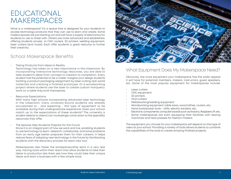### EDUCATIONAL MAKERSPACES

What is a makerspace? It's a space that is designed for your students to access technology products that they can use to learn and create. Some makers spaces are just starting out and will have a supply of electronics for students to use to tinker with. Others are more advanced and established, offering students access to CNC routers, 3D printers, welding equipment, laser cutters (and more!). Each offer students a great resource to further their creativity.

### School Makerspace Benefits

• Taking Products from Ideas to Reality

Technology has taken on a new importance in the classroom. By incorporating interactive technology resources, you are able to take student's ideas from concept to creation to completion. Every student has the potential to be a maker. Imagine your design students tackling a product packaging assignment by laser cutting real-world materials and creating a finished prototype. Or a woodworking project where students use the laser to create custom marquetry work on a table they built themselves.

Resource Expectations

With many high schools incorporating advanced laser technology in the classroom, many university-bound students are already accustomed to - and expecting - this type of equipment to be available during their undergraduate experience. Does your school match up to the expectations of these students? The university a student selects to attend can increasingly come down to the speciality resources they offer.

The Spaces Help Students Prepare for the Future

Since it is an integral part of how we work and live, enabling students to use technology to learn, research, collaborate, and solve problems from an early age better prepares them for their careers. It helps reduce fears of adopting new technology in the future by familiarizing students with the discovery process for each new tool.

Makerspaces also foster the entrepreneurship spirit in a very real way. Having tools within their reach that allow students to take their ideas to production lets them see how they could take their unique ideas and start a business with a few simple tools.



#### What Equipment Does My Makerspace Need?

Obviously, the more equipment your makerspace has the wider appeal it will have for potential members, makers, instructors, guest speakers, etc. Some of the most popular equipment for makerspaces include:

- Laser cutters
- CNC equipment
- 3D printers
- **Vinyl cutters**
- Metalworking/welding equipment
- Woodworking equipment: table saws, wood lathes, routers, etc.
- Hand tools/power tools drills, electric sanders, etc.
- Electronic components: computer boards such as Arduino, Raspberry Pi, etc.
- Some makerspaces are even equipping their facilities with sewing machines and heat presses for fashion makers.

The equipment you choose for your makerspace will depend on the type of users at your school. Providing a variety of tools allows students to combine the capabilities of the tools to create amazing finished projects.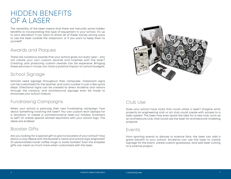### HIDDEN BENEFITS OF A LASER

The versatility of the laser means that there are naturally some hidden benefits to incorporating this type of equipment in your school. It's up to your discretion if you want to share all of these money saving ways to use the laser outside the classroom, or if you want to keep them to yourself!

### Awards and Plaques

There are numerous awards that your school gives out every year - why not create your own custom awards and trophies with the laser? Creating and producing custom awards can be expensive. Bringing these services in house can have a positive impact on school budgets.

### School Signage

Schools need signage throughout their campuses. Classroom signs can be customized for the teacher and room number in just a few quick steps. Directional signs can be created to direct students and visitors through the campus, and architectural signage even be made to showcase your school mascot.

### Fundraising Campaigns

When your school is planning their next fundraising campaign, how about something involving the laser? You can custom etch laptops for a donation, or create a commemorative laser-cut holiday ornament to sell? Or create special etched keychains with your school logo. The ideas are endless!

#### Booster Gifts

Are you looking for a special gift to give to boosters of your school? How about a cozy fleece with the booster's name and school logo engraved? Or personalized travel coffee mugs or water bottles? Even the simplest gifts can mean so much more when customized with the laser.



### Club Use

Does your school have clubs that could utilize a laser? Imagine what projects an engineering club or art club could create with access to a laser system. The laser may even spark the idea for a new club, such as an architecture club, that could use the laser for architectural modeling projects!

#### Events

From sporting events to dances to science fairs, the laser can add a great benefit to your school. Students can use the laser to create signage for the event, create custom giveaways, and add laser cutting to a science project.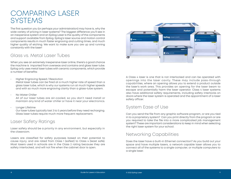### COMPARING LASER **SYSTEMS**

The first question you (or perhaps your administration) may have is, why the wide variety of pricing in laser systems? The biggest difference you'll see in an inexpensive system and an Epilog Laser is the quality of the components and support available from Epilog. Epilog's laser source and motion control components results in much faster engraving and cutting times, and much higher quality of etching. We want to make sure you are up and running constantly with the laser!

### Glass vs. Metal Laser Tubes

When you see an extremely inexpensive laser online, there's a good chance the machine is imported from overseas and contains and glass laser tube. Epilog only uses metal laser tubes with ceramic components, which provide a number of benefits:

• Higher Engraving Speed / Resolution

Metal laser tubes can be fired at a much higher rate of speed than a glass laser tube, which is why our systems run at much higher speeds and with so much more engraving clarity than a glass-tube system.

• No Water Chiller

All of our laser tubes are air-cooled, so you don't need install or maintain any kind of water chiller or have it near your electronics.

• Longer Lifetime

Our laser tubes typically last 3 to 5 years before they need recharging. Glass laser tubes require much more frequent replacement.

#### Laser Safety Ratings

Laser safety should be a priority in any environment, but especially in the classroom.

Lasers are classified for safety purposes based on their potential to cause injury, and are rated from Class 1 (safest) to Class 4 (least safe). Most lasers used in schools are in the Class 2 rating because they are safety interlocked, and will not fire when the cabinet door is open.



A Class 4 laser is one that is not interlocked and can be operated with openings into the laser cavity. These may include pass-through capabilities, where an opening allows you to extend a product outside the laser's work area. This provides an opening for the laser beam to escape and potentially harm the laser operator. Class 4 laser systems also have additional safety requirements, including safety interlocks on doors where the laser system is operated and the appointment of a laser safety officer.

### System Ease of Use

Can you send the file from any graphic software program, or are you tied in to a proprietary system? Can you print directly from the program or are you required to take the file into a more complicated job management system? These are important considerations to keep in mind when selecting the right laser system for your school.

### Networking Capabilities

Does the laser have a built-in Ethernet connection? As you build out your space and have multiple lasers, a network capable laser allows you to connect all of the systems to a single computer, or multiple computers to a single laser.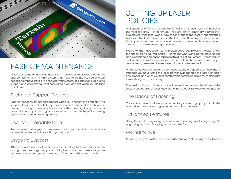

# EASE OF MAINTENANCE

All laser systems will need maintenance. There are complicated electronics and components within this system that need to be maintained and will occasionally have issues. In choosing your system, ask questions regarding support and understand what type of help you can get when you do face a problem.

#### Technical Support Process

What is the technical support process when you encounter a problem? The support department should be quickly responsive and be able to diagnose problems through a few simple questions, then overnight any necessary parts. Online support through chat systems can also be helpful in getting systems back up and running quickly.

### User Maintainable Parts

Are the systems designed in a modular fashion so that parts can be easily accessed and replaced by staff at your school?

### Ongoing Support

After your warranty, what is the process for calling technical support and asking questions or getting parts quickly? You'll want to make sure you've got resources to help you succeed long after the sale has been made.

### SETTING UP LASER POLICIES

Makerspaces differ in their policies for using their laser systems; however, the vast majority - at minimum - require an introductory course that explains how the laser works, how to send jobs to the laser, what materials work with the laser, how to clean the laser, etc. Some makerspaces cover this important information in one introductory course, while others break it into two or three more in-depth sessions.

Even after the introduction, some makerspace require using the laser under the supervision of a "maker pro" – someone who works at the makerspace and is considered a seasoned user of this type of equipment. Others require makers to accumulate a certain number of laser hours with a maker pro before being permitted to use the equipment unsupervised.

What works best for you and your makerspace will depend on how many students you have using the laser, how knowledgeable they are with laser equipment, and what you feel comfortable setting as a minimum standard to use this type of machinery.

The design of your training class will depend on your students' use of the system and degree of laser knowledge. Some ideas for class topics include:

### The Basics of Lasering

Concepts covered include raster vs. vector jobs, setting up a print job, the print driver, material settings, sending the job to the laser.

#### Advanced Features

Using the center-engraving feature, color mapping, photo engraving, 3D engraving settings, changing settings on the fly.

#### Maintenance

Cleaning the system after use, cleaning the cutting table, wiping off the lenses.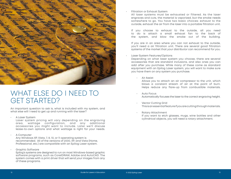

### WHAT ELSE DO I NEED TO GET STARTED?

An important question to ask is, what is included with my system, and what else will I need to get up and running with the laser?

• A Laser System

Laser system pricing will vary depending on the engraving area, wattage configuration, and any additional accessories you might want to include. Later we'll discuss lease-to-own options and what wattage is right for your needs.

A Computer

Any Windows XP, Vista, 7, 8, 10, or 11 operating system is recommended. All of the versions of 2000, XP, and Vista (Home, Professional, etc.) are compatible with an Epilog Laser system.

• Graphic Software Epilog's systems are designed to run on most Windows-based graphic software programs, such as CorelDRAW, Adobe and AutoCAD. The system comes with a print driver that will send your images from any of these programs.

Filtration or Exhaust System

All laser systems must be exhausted or filtered. As the laser engraves and cuts, the material is vaporized, but the smoke needs somewhere to go. You have two basic choices: exhaust to the outside, exhaust the air from the laser into a portable filtration unit.

If you choose to exhaust to the outside, all you need to do is attach a small exhaust fan to the back of the system, and blow the smoke out of the building.

If you are in an area where you can not exhaust to the outside, you'll need a air filtration unit. There are several good filtration systems of the market that your distributor can recommend for you.

#### Laser System Features/Options

Depending on what laser system you choose, there are several accessories that are standard inclusions, and also ones you can add after you purchase. While many of these come as standard equipment with an Epilog Laser system, you will want to make sure you have them on any system you purchase.

• Air Assist

Allows you to attach an air compressor to the unit, which blows a constant stream of air at the point of burn. Helps reduce any flare-up from combustible materials.

- Auto Focus Automatically focuses the laser to the correct engraving height.
- **Vector Cutting Grid** This is an essential feature if you are cutting through materials.
- Rotary Attachment

If you want to etch glasses, mugs, wine bottles and other cylindrical objects, you will need a rotary attachment.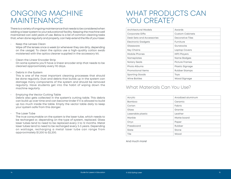### ONGOING MACHINE MAINTENANCE

There is a variety of ongoing maintenance that needs to be considered when adding a laser system to your educational facility. Keeping the machine well maintained can add years of use. Below is a list of common cleaning tasks that, when done regularly and properly, can help extend the life of your laser.

#### • Keep the Lenses Clean

Wipe off the lenses once a week (or whenever they are dirty, depending on the usage). To clean the optics use a high-quality cotton swab moistened with the optics cleaner supplied in the accessory kit.

- Clean the Linear Encoder Strip On some systems you'll have a linear encoder strip that needs to be cleaned approximately every 90 days.
- Debris in the System

This is one of the most important cleaning processes that should be done regularly. Dust and debris that builds up in the system can damage many components of the system and should be removed regularly. Have students get into the habit of wiping down the machine regularly.

• Emptying the Vector Cutting Table

Debris also gets collected in the system's cutting table. This debris can build up over time and can become tinder if it is allowed to build up too much inside the table. Empty the vector table daily to keep your system safe from this danger.

• The Laser Tube

The true consumable on the system is the laser tube, which needs to be recharged or, depending on the type of system, replaced. Glass laser tubes tend to need to be replaced every 3 to 12 months. Metal laser tubes tend to need to be recharged every 3-5 years. Depending on wattage, recharging a metal laser tube can range from approximately \$1,200 to \$2,200.

### WHAT PRODUCTS CAN YOU CREATE?

| <b>Architectural Models</b> | Awards                 |
|-----------------------------|------------------------|
| <b>Corporate Gifts</b>      | <b>Custom Cabinets</b> |
| Desk Sets and Accessories   | Decorative Tiles       |
| <b>Electronic Gadgets</b>   | <b>Furniture</b>       |
| Glassware                   | Gunstocks              |
| <b>Key Chains</b>           | Laptop Covers          |
| Mobile Phones               | <b>MP3 Players</b>     |
| Nameplates                  | Name Badges            |
| <b>Notary Seals</b>         | Picture Frames         |
| Photo Albums                | Plastic Signage        |
| Promotional Items           | <b>Rubber Stamps</b>   |
| <b>Sporting Goods</b>       | <b>Toys</b>            |
| Wine Bottles                | Wood Signage           |
|                             |                        |

### What Materials Can You Use?

| Acrylic           | Anodized aluminum |
|-------------------|-------------------|
| <b>Bamboo</b>     | Ceramic           |
| Corian            | Fabric            |
| Glass             | Granite           |
| Laserable plastic | Leather           |
| Marble            | Matte board       |
| Onyx              | Paper             |
| Pressboard        | Rubber            |
| Slate             | Stone             |
| Tile              | Wood              |

And much more!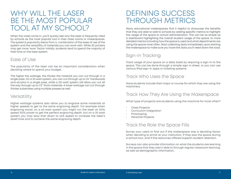### WHY WILL THE LASER BE THE MOST POPULAR TOOL AT MY SCHOOL?

When the votes come in, you'll quickly see why the laser is frequently cited by schools as the most popular tool in their class rooms or makerspaces. The system's popularity stems from a combination of the ease of use of the system and the versatility of materials you can work with. While 3D printers may get more 'wow' factor initially, students tend to spend the majority of their time on the laser system.

#### Ease of Use

The popularity of the laser can be an important consideration when deciding where to spend your budget.

The higher the wattage, the thicker the material you can cut through in a single pass. On a 30 watt system, you can cut through up to 1/4" hardwoods and acrylics in a single pass, while a 120 watt system will allow you cut all the way through up to 1/2" thick materials. A lower wattage can cut through thicker substrates using multiple passes as well.

### Versatility

Higher wattage systems also allow you to engrave some materials at higher speeds to get to the same engraving depth. For example when engraving wood, on a 60-watt system you might run the laser at 100% speed 100% power to get the perfect engraving depth, but on a 30 watt system you may slow that down to 40% speed to increase the laser's dwell time and to achieve the same engraving depth.

### DEFINING SUCCESS THROUGH METRICS

Many educational makerspaces find it helpful to showcase the benefits that they are able to add to schools by adding specific metrics to highlight the usage of the space to school administration. This can be as simple as a dashboard highlighting the overall student usage of the space, to more detailed metrics including how the space is used and what departments are using the space most often. Start collecting data immediately upon starting the makerspace to make sure you have the data you'll need down the road.

### Sign-in Tracking

Track usage of your space on a daily basis by requiring a sign-in to the space. This can be done through a simple sign-in sheet, or you can use various iPad sign-in apps or ticketing systems.

### Track Who Uses the Space

Have students include their major or course for which they are using the machinery.

### Track How They Are Using the Makerspace

What type of projects are students using the machine for most often?

- Class Projects
- Curriculum Integration
- **Prototyping**
- Personal Projects

#### Track the Role the Space Fills

Survey your users to find out if the makerspace was a deciding factor when deciding to enroll at your institution, if they saw the space during a school tour, and if the resources offered support student retention.

Surveys can also provide information on what the students are learning in the space that they aren't able to through regular classroom learning, as well as demographic information.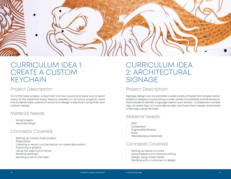

### CURRICULUM IDEA 1: CREATE A CUSTOM KEYCHAIN

#### Project Description:

For a first laser project, a keychain can be a quick and easy way to learn many of the essential basic lessons needed on all future projects. Have the students take a piece of wood and design a keychain using their own custom design.

### Material Needs:

- Wood sheets
- Keychain Rings

### Concepts Covered:

- Setting up a basic laser project
- Page setup
- Creating a vector cut line (vector vs. raster discussion)
- Importing a graphic
- Using the laser's print driver
- Material settings
- Sending a job to the laser

### CURRICULUM IDEA 2: ARCHITECTURAL **SIGNAGE**

### Project Description:

Signage design can incorporate a wide variety of styles from simple nameplates to designs incorporating a wide variety of materials and dimensions. Have students identify a signage need in your school - a classroom number sign, an event sign, or a club signup sign, and have them design and create a new sign using the laser.

### Material Needs:

- MDF
- **Cardboard**
- Engravable Plastics
- Paint
- Miscellaneous Materials

### Concepts Covered:

- Setting up vector cut lines
- Using frequency to improve cutting
- Design using mixed media
- Working with a customer on design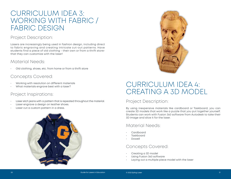### CURRICULUM IDEA 3: WORKING WITH FABRIC / FABRIC DESIGN

### Project Description:

Lasers are increasingly being used in fashion design, including direct to fabric engraving and creating intricate cut-out patterns. Have students find a piece of old clothing - their own or from a thrift storethat they can customize with the laser!

#### Material Needs:

• Old clothing, shoes, etc. from home or from a thrift store

### Concepts Covered:

- Working with resolution on different materials
- What materials engrave best with a laser?

### Project Inspirations:

- Laser etch jeans with a pattern that is repeated throughout the material.
- Laser engrave a design on leather shoes.
- Laser cut a custom pattern in a dress.





### CURRICULUM IDEA 4: CREATING A 3D MODEL

### Project Description:

By using inexpensive materials like cardboard or Taskboard, you can create 3D models that work like a puzzle that you put together yourself. Students can work with Fusion 360 software from Autodesk to take their 3D image and slice it for the laser.

### Material Needs:

- Cardboard
- **Taskboard**
- Dowell

#### Concepts Covered:

- Creating a 3D model
- Using Fusion 360 software
- Laying out a multiple piece model with the laser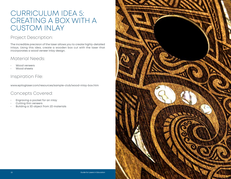### CURRICULUM IDEA 5: CREATING A BOX WITH A CUSTOM INLAY

### Project Description:

The incredible precision of the laser allows you to create highly-detailed inlays. Using this idea, create a wooden box cut with the laser that incorporates a wood veneer inlay design.

### Material Needs:

- Wood veneers
- Wood sheets

### Inspiration File:

www.epiloglaser.com/resources/sample-club/wood-inlay-box.htm

### Concepts Covered:

- Engraving a pocket for an inlay
- Cutting thin veneers
- Building a 3D object from 2D materials

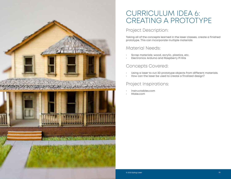### CURRICULUM IDEA 6: CREATING A PROTOTYPE

### Project Description:

Taking all of the concepts learned in the laser classes, create a finished prototype. This can incorporate multiple materials

### Material Needs:

- Scrap materials: wood, acrylic, plastics, etc.
- Electronics: Arduino and Raspberry Pi Kits

### Concepts Covered:

- Using a laser to cut 3D prototype objects from different materials.
- How can the laser be used to create a finalized design?

### Project Inspirations:

- Instructables.com
- Make.com